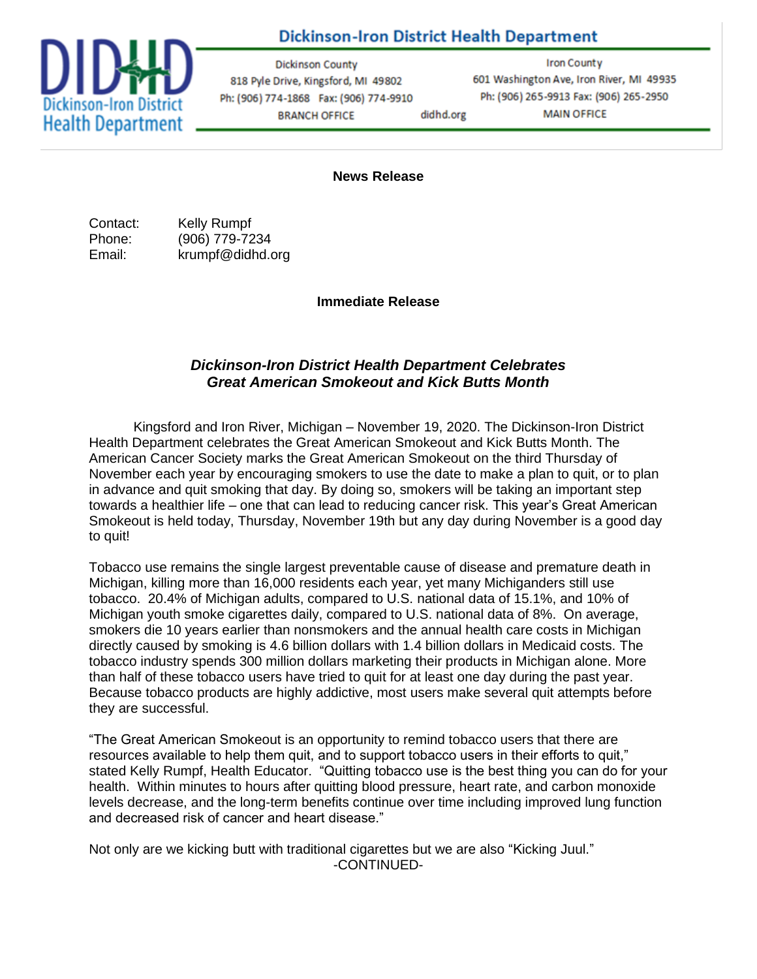## **Dickinson-Iron District Health Department**



**Dickinson County** 818 Pyle Drive, Kingsford, MI 49802 Ph: (906) 774-1868 Fax: (906) 774-9910 **BRANCH OFFICE** didhd.org

**Iron County** 601 Washington Ave, Iron River, MI 49935 Ph: (906) 265-9913 Fax: (906) 265-2950 **MAIN OFFICE** 

**News Release**

Contact: Kelly Rumpf Phone: (906) 779-7234 Email: krumpf@didhd.org

**Immediate Release**

## *Dickinson-Iron District Health Department Celebrates Great American Smokeout and Kick Butts Month*

Kingsford and Iron River, Michigan – November 19, 2020. The Dickinson-Iron District Health Department celebrates the Great American Smokeout and Kick Butts Month. The American Cancer Society marks the Great American Smokeout on the third Thursday of November each year by encouraging smokers to use the date to make a plan to quit, or to plan in advance and quit smoking that day. By doing so, smokers will be taking an important step towards a healthier life – one that can lead to reducing cancer risk. This year's Great American Smokeout is held today, Thursday, November 19th but any day during November is a good day to quit!

Tobacco use remains the single largest preventable cause of disease and premature death in Michigan, killing more than 16,000 residents each year, yet many Michiganders still use tobacco. 20.4% of Michigan adults, compared to U.S. national data of 15.1%, and 10% of Michigan youth smoke cigarettes daily, compared to U.S. national data of 8%. On average, smokers die 10 years earlier than nonsmokers and the annual health care costs in Michigan directly caused by smoking is 4.6 billion dollars with 1.4 billion dollars in Medicaid costs. The tobacco industry spends 300 million dollars marketing their products in Michigan alone. More than half of these tobacco users have tried to quit for at least one day during the past year. Because tobacco products are highly addictive, most users make several quit attempts before they are successful.

"The Great American Smokeout is an opportunity to remind tobacco users that there are resources available to help them quit, and to support tobacco users in their efforts to quit," stated Kelly Rumpf, Health Educator. "Quitting tobacco use is the best thing you can do for your health. Within minutes to hours after quitting blood pressure, heart rate, and carbon monoxide levels decrease, and the long-term benefits continue over time including improved lung function and decreased risk of cancer and heart disease."

Not only are we kicking butt with traditional cigarettes but we are also "Kicking Juul." -CONTINUED-